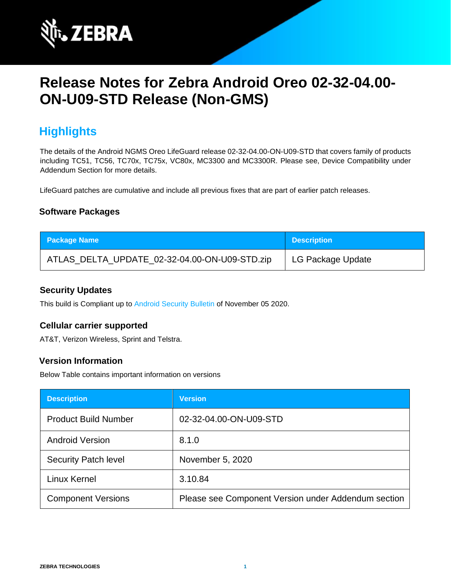

# **Release Notes for Zebra Android Oreo 02-32-04.00- ON-U09-STD Release (Non-GMS)**

## **Highlights**

The details of the Android NGMS Oreo LifeGuard release 02-32-04.00-ON-U09-STD that covers family of products including TC51, TC56, TC70x, TC75x, VC80x, MC3300 and MC3300R. Please see, Device Compatibility under Addendum Section for more details.

LifeGuard patches are cumulative and include all previous fixes that are part of earlier patch releases.

### **Software Packages**

| <b>Package Name</b>                           | <b>Description</b> |
|-----------------------------------------------|--------------------|
| ATLAS_DELTA_UPDATE_02-32-04.00-ON-U09-STD.zip | LG Package Update  |

### **Security Updates**

This build is Compliant up to [Android Security Bulletin](https://source.android.com/security/bulletin/) of November 05 2020.

### **Cellular carrier supported**

AT&T, Verizon Wireless, Sprint and Telstra.

### **Version Information**

Below Table contains important information on versions

| <b>Description</b>          | <b>Version</b>                                      |
|-----------------------------|-----------------------------------------------------|
| <b>Product Build Number</b> | 02-32-04.00-ON-U09-STD                              |
| <b>Android Version</b>      | 8.1.0                                               |
| <b>Security Patch level</b> | November 5, 2020                                    |
| Linux Kernel                | 3.10.84                                             |
| <b>Component Versions</b>   | Please see Component Version under Addendum section |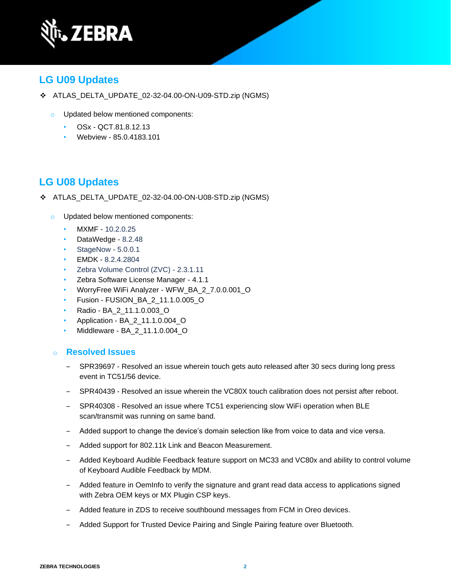

## **LG U09 Updates**

- ❖ ATLAS\_DELTA\_UPDATE\_02-32-04.00-ON-U09-STD.zip (NGMS)
	- o Updated below mentioned components:
		- OSx QCT.81.8.12.13
		- Webview 85.0.4183.101

## **LG U08 Updates**

- ❖ ATLAS\_DELTA\_UPDATE\_02-32-04.00-ON-U08-STD.zip (NGMS)
	- o Updated below mentioned components:
		- MXMF 10.2.0.25
		- DataWedge 8.2.48
		- StageNow 5.0.0.1
		- EMDK 8.2.4.2804
		- Zebra Volume Control (ZVC) 2.3.1.11
		- Zebra Software License Manager 4.1.1
		- WorryFree WiFi Analyzer WFW\_BA\_2\_7.0.0.001\_O
		- Fusion FUSION\_BA\_2\_11.1.0.005\_O
		- Radio BA\_2\_11.1.0.003\_O
		- Application BA\_2\_11.1.0.004\_O
		- Middleware BA\_2\_11.1.0.004\_O

### o **Resolved Issues**

- ‒ SPR39697 Resolved an issue wherein touch gets auto released after 30 secs during long press event in TC51/56 device.
- ‒ SPR40439 Resolved an issue wherein the VC80X touch calibration does not persist after reboot.
- ‒ SPR40308 Resolved an issue where TC51 experiencing slow WiFi operation when BLE scan/transmit was running on same band.
- ‒ Added support to change the device's domain selection like from voice to data and vice versa.
- ‒ Added support for 802.11k Link and Beacon Measurement.
- ‒ Added Keyboard Audible Feedback feature support on MC33 and VC80x and ability to control volume of Keyboard Audible Feedback by MDM.
- ‒ Added feature in OemInfo to verify the signature and grant read data access to applications signed with Zebra OEM keys or MX Plugin CSP keys.
- ‒ Added feature in ZDS to receive southbound messages from FCM in Oreo devices.
- Added Support for Trusted Device Pairing and Single Pairing feature over Bluetooth.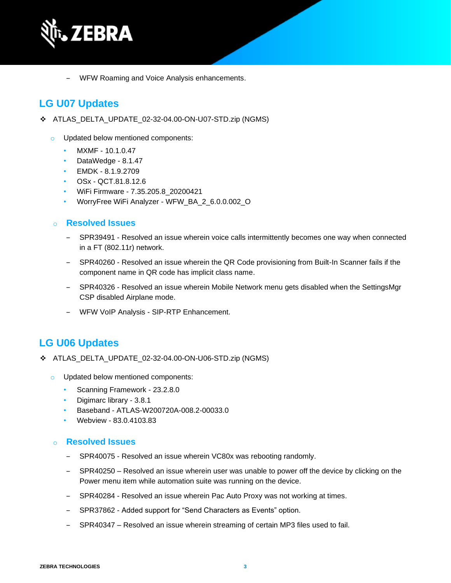

‒ WFW Roaming and Voice Analysis enhancements.

## **LG U07 Updates**

- ❖ ATLAS\_DELTA\_UPDATE\_02-32-04.00-ON-U07-STD.zip (NGMS)
	- o Updated below mentioned components:
		- MXMF 10.1.0.47
		- DataWedge 8.1.47
		- EMDK 8.1.9.2709
		- OSx QCT.81.8.12.6
		- WiFi Firmware 7.35.205.8\_20200421
		- WorryFree WiFi Analyzer WFW\_BA\_2\_6.0.0.002\_O

### o **Resolved Issues**

- ‒ SPR39491 Resolved an issue wherein voice calls intermittently becomes one way when connected in a FT (802.11r) network.
- ‒ SPR40260 Resolved an issue wherein the QR Code provisioning from Built-In Scanner fails if the component name in QR code has implicit class name.
- ‒ SPR40326 Resolved an issue wherein Mobile Network menu gets disabled when the SettingsMgr CSP disabled Airplane mode.
- ‒ WFW VoIP Analysis SIP-RTP Enhancement.

## **LG U06 Updates**

- ❖ ATLAS\_DELTA\_UPDATE\_02-32-04.00-ON-U06-STD.zip (NGMS)
	- o Updated below mentioned components:
		- Scanning Framework 23.2.8.0
		- Digimarc library 3.8.1
		- Baseband ATLAS-W200720A-008.2-00033.0
		- Webview 83.0.4103.83

### o **Resolved Issues**

- SPR40075 Resolved an issue wherein VC80x was rebooting randomly.
- ‒ SPR40250 Resolved an issue wherein user was unable to power off the device by clicking on the Power menu item while automation suite was running on the device.
- ‒ SPR40284 Resolved an issue wherein Pac Auto Proxy was not working at times.
- SPR37862 Added support for "Send Characters as Events" option.
- SPR40347 Resolved an issue wherein streaming of certain MP3 files used to fail.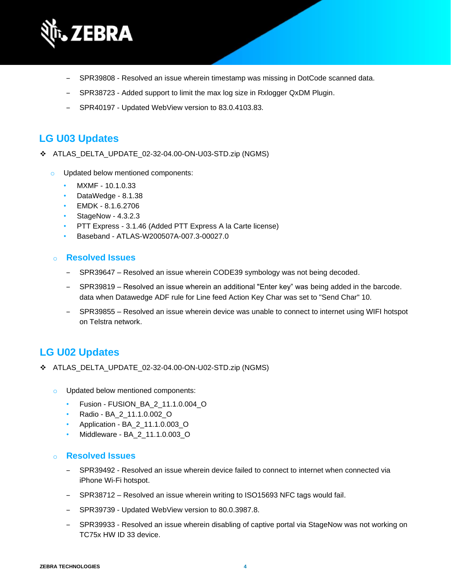

- ‒ SPR39808 Resolved an issue wherein timestamp was missing in DotCode scanned data.
- SPR38723 Added support to limit the max log size in Rxlogger QxDM Plugin.
- ‒ SPR40197 Updated WebView version to 83.0.4103.83.

### **LG U03 Updates**

- ❖ ATLAS\_DELTA\_UPDATE\_02-32-04.00-ON-U03-STD.zip (NGMS)
	- o Updated below mentioned components:
		- MXMF 10.1.0.33
		- DataWedge 8.1.38
		- EMDK 8.1.6.2706
		- StageNow 4.3.2.3
		- PTT Express 3.1.46 (Added PTT Express A la Carte license)
		- Baseband ATLAS-W200507A-007.3-00027.0

#### o **Resolved Issues**

- SPR39647 Resolved an issue wherein CODE39 symbology was not being decoded.
- ‒ SPR39819 Resolved an issue wherein an additional "Enter key" was being added in the barcode. data when Datawedge ADF rule for Line feed Action Key Char was set to "Send Char" 10.
- SPR39855 Resolved an issue wherein device was unable to connect to internet using WIFI hotspot on Telstra network.

### **LG U02 Updates**

- ❖ ATLAS\_DELTA\_UPDATE\_02-32-04.00-ON-U02-STD.zip (NGMS)
	- o Updated below mentioned components:
		- Fusion FUSION\_BA\_2\_11.1.0.004\_O
		- Radio BA\_2\_11.1.0.002\_O
		- Application BA\_2\_11.1.0.003\_O
		- Middleware BA\_2\_11.1.0.003\_O

#### o **Resolved Issues**

- ‒ SPR39492 Resolved an issue wherein device failed to connect to internet when connected via iPhone Wi-Fi hotspot.
- ‒ SPR38712 Resolved an issue wherein writing to ISO15693 NFC tags would fail.
- SPR39739 Updated WebView version to 80.0.3987.8.
- ‒ SPR39933 Resolved an issue wherein disabling of captive portal via StageNow was not working on TC75x HW ID 33 device.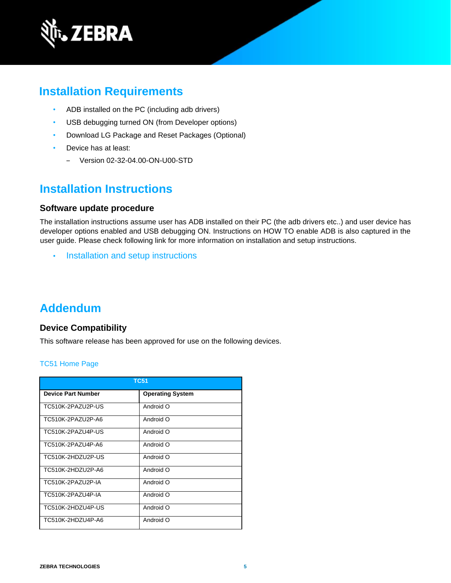

## **Installation Requirements**

- ADB installed on the PC (including adb drivers)
- USB debugging turned ON (from Developer options)
- Download LG Package and Reset Packages (Optional)
- Device has at least:
	- ‒ Version 02-32-04.00-ON-U00-STD

## **Installation Instructions**

### **Software update procedure**

The installation instructions assume user has ADB installed on their PC (the adb drivers etc..) and user device has developer options enabled and USB debugging ON. Instructions on HOW TO enable ADB is also captured in the user guide. Please check following link for more information on installation and setup instructions.

• [Installation and setup instructions](https://www.zebra.com/content/dam/zebra_new_ia/en-us/software/operating-system/tc5x-tc7x-shared-operating-system/atlas_oreo-os-update-instructions.pdf)

## **Addendum**

### **Device Compatibility**

This software release has been approved for use on the following devices.

#### [TC51 Home Page](https://www.zebra.com/us/en/support-downloads/mobile-computers/handheld/tc51.html)

| <b>TC51</b>               |                         |  |
|---------------------------|-------------------------|--|
| <b>Device Part Number</b> | <b>Operating System</b> |  |
| TC510K-2PAZU2P-US         | Android O               |  |
| TC510K-2PAZU2P-A6         | Android O               |  |
| TC510K-2PAZU4P-US         | Android O               |  |
| TC510K-2PAZU4P-A6         | Android O               |  |
| TC510K-2HDZU2P-US         | Android O               |  |
| TC510K-2HDZU2P-A6         | Android O               |  |
| TC510K-2PAZU2P-IA         | Android O               |  |
| TC510K-2PAZU4P-IA         | Android O               |  |
| TC510K-2HDZU4P-US         | Android O               |  |
| TC510K-2HDZU4P-A6         | Android O               |  |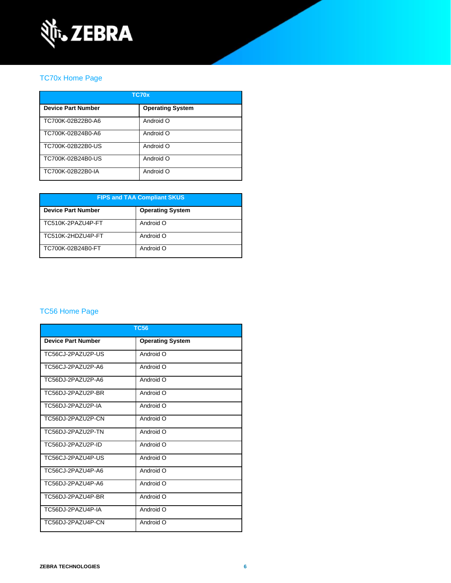

### [TC70x Home Page](https://www.zebra.com/us/en/support-downloads/mobile-computers/handheld/tc70x.html)

| TC70x                     |                         |  |
|---------------------------|-------------------------|--|
| <b>Device Part Number</b> | <b>Operating System</b> |  |
| TC700K-02B22B0-A6         | Android O               |  |
| TC700K-02B24B0-A6         | Android O               |  |
| TC700K-02B22B0-US         | Android O               |  |
| TC700K-02B24B0-US         | Android O               |  |
| TC700K-02B22B0-IA         | Android O               |  |

| <b>FIPS and TAA Compliant SKUS</b> |                         |  |
|------------------------------------|-------------------------|--|
| <b>Device Part Number</b>          | <b>Operating System</b> |  |
| TC510K-2PAZU4P-FT                  | Android O               |  |
| TC510K-2HDZU4P-FT                  | Android O               |  |
| TC700K-02B24B0-FT                  | Android O               |  |

### [TC56 Home Page](https://www.zebra.com/us/en/support-downloads/mobile-computers/handheld/tc56.html)

| <b>TC56</b>               |                         |  |
|---------------------------|-------------------------|--|
| <b>Device Part Number</b> | <b>Operating System</b> |  |
| TC56CJ-2PAZU2P-US         | Android O               |  |
| TC56CJ-2PAZU2P-A6         | Android O               |  |
| TC56DJ-2PAZU2P-A6         | Android O               |  |
| TC56DJ-2PAZU2P-BR         | Android O               |  |
| TC56DJ-2PAZU2P-IA         | Android O               |  |
| TC56DJ-2PAZU2P-CN         | Android O               |  |
| TC56DJ-2PAZU2P-TN         | Android O               |  |
| TC56DJ-2PAZU2P-ID         | Android O               |  |
| TC56CJ-2PAZU4P-US         | Android O               |  |
| TC56CJ-2PAZU4P-A6         | Android O               |  |
| TC56DJ-2PAZU4P-A6         | Android O               |  |
| TC56DJ-2PAZU4P-BR         | Android O               |  |
| TC56DJ-2PAZU4P-IA         | Android O               |  |
| TC56DJ-2PAZU4P-CN         | Android O               |  |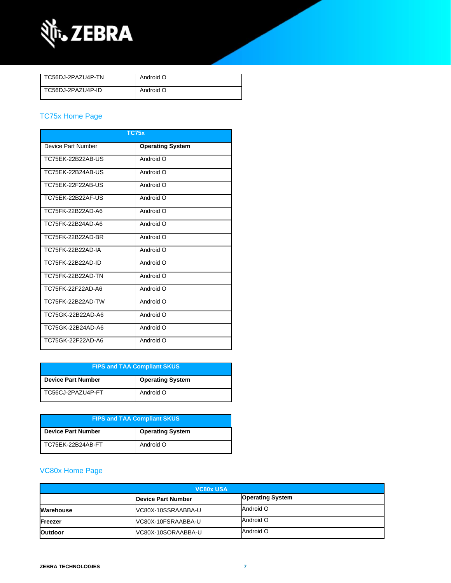

| TC56DJ-2PAZU4P-TN | Android O |
|-------------------|-----------|
| TC56DJ-2PAZU4P-ID | Android O |

### [TC75x Home Page](https://www.zebra.com/us/en/support-downloads/mobile-computers/handheld/tc75x.html)

| <b>TC75x</b>       |                         |  |
|--------------------|-------------------------|--|
| Device Part Number | <b>Operating System</b> |  |
| TC75EK-22B22AB-US  | Android O               |  |
| TC75EK-22B24AB-US  | Android O               |  |
| TC75EK-22F22AB-US  | Android O               |  |
| TC75FK-22B22AF-US  | Android O               |  |
| TC75FK-22B22AD-A6  | Android O               |  |
| TC75FK-22B24AD-A6  | Android O               |  |
| TC75FK-22B22AD-BR  | Android O               |  |
| TC75FK-22B22AD-IA  | Android O               |  |
| TC75FK-22B22AD-ID  | Android O               |  |
| TC75FK-22B22AD-TN  | Android O               |  |
| TC75FK-22F22AD-A6  | Android O               |  |
| TC75FK-22B22AD-TW  | Android O               |  |
| TC75GK-22B22AD-A6  | Android O               |  |
| TC75GK-22B24AD-A6  | Android O               |  |
| TC75GK-22F22AD-A6  | Android O               |  |

| <b>FIPS and TAA Compliant SKUS</b> |                         |  |
|------------------------------------|-------------------------|--|
| <b>Device Part Number</b>          | <b>Operating System</b> |  |
| TC56CJ-2PAZU4P-FT                  | Android O               |  |

| <b>FIPS and TAA Compliant SKUS</b> |                         |  |
|------------------------------------|-------------------------|--|
| <b>Device Part Number</b>          | <b>Operating System</b> |  |
| TC75EK-22B24AB-FT                  | Android O               |  |

## [VC80x Home Page](https://www.zebra.com/us/en/support-downloads/mobile-computers/vehicle-mounted/vc80x.html)

| <b>VC80x USA</b> |                           |                         |
|------------------|---------------------------|-------------------------|
|                  | <b>Device Part Number</b> | <b>Operating System</b> |
| Warehouse        | VC80X-10SSRAABBA-U        | Android O               |
| Freezer          | VC80X-10FSRAABBA-U        | Android O               |
| <b>Outdoor</b>   | VC80X-10SORAABBA-U        | Android O               |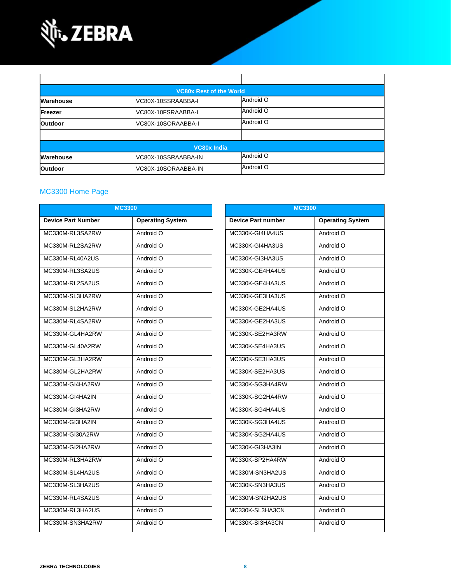

|                  | <b>VC80x Rest of the World</b> |           |  |
|------------------|--------------------------------|-----------|--|
| <b>Warehouse</b> | VC80X-10SSRAABBA-I             | Android O |  |
| Freezer          | VC80X-10FSRAABBA-I             | Android O |  |
| <b>Outdoor</b>   | VC80X-10SORAABBA-I             | Android O |  |
|                  |                                |           |  |
|                  | <b>VC80x India</b>             |           |  |
| Warehouse        | VC80X-10SSRAABBA-IN            | Android O |  |
| <b>Outdoor</b>   | VC80X-10SORAABBA-IN            | Android O |  |

### MC3300 [Home Page](https://www.zebra.com/us/en/support-downloads/mobile-computers/handheld/mc3300.html)

|                           | <b>MC3300</b>           |                           | <b>MC3300</b>           |
|---------------------------|-------------------------|---------------------------|-------------------------|
| <b>Device Part Number</b> | <b>Operating System</b> | <b>Device Part number</b> | <b>Operating System</b> |
| MC330M-RL3SA2RW           | Android O               | MC330K-GI4HA4US           | Android O               |
| MC330M-RL2SA2RW           | Android O               | MC330K-GI4HA3US           | Android O               |
| MC330M-RL40A2US           | Android O               | MC330K-GI3HA3US           | Android O               |
| MC330M-RL3SA2US           | Android O               | MC330K-GE4HA4US           | Android O               |
| MC330M-RL2SA2US           | Android O               | MC330K-GE4HA3US           | Android O               |
| MC330M-SL3HA2RW           | Android O               | MC330K-GE3HA3US           | Android O               |
| MC330M-SL2HA2RW           | Android O               | MC330K-GE2HA4US           | Android O               |
| MC330M-RL4SA2RW           | Android O               | MC330K-GE2HA3US           | Android O               |
| MC330M-GL4HA2RW           | Android O               | MC330K-SE2HA3RW           | Android O               |
| MC330M-GL40A2RW           | Android O               | MC330K-SE4HA3US           | Android O               |
| MC330M-GL3HA2RW           | Android O               | MC330K-SE3HA3US           | Android O               |
| MC330M-GL2HA2RW           | Android O               | MC330K-SE2HA3US           | Android O               |
| MC330M-GI4HA2RW           | Android O               | MC330K-SG3HA4RW           | Android O               |
| MC330M-GI4HA2IN           | Android O               | MC330K-SG2HA4RW           | Android O               |
| MC330M-GI3HA2RW           | Android O               | MC330K-SG4HA4US           | Android O               |
| MC330M-GI3HA2IN           | Android O               | MC330K-SG3HA4US           | Android O               |
| MC330M-GI30A2RW           | Android O               | MC330K-SG2HA4US           | Android O               |
| MC330M-GI2HA2RW           | Android O               | MC330K-GI3HA3IN           | Android O               |
| MC330M-RL3HA2RW           | Android O               | MC330K-SP2HA4RW           | Android O               |
| MC330M-SL4HA2US           | Android O               | MC330M-SN3HA2US           | Android O               |
| MC330M-SL3HA2US           | Android O               | MC330K-SN3HA3US           | Android O               |
| MC330M-RL4SA2US           | Android O               | MC330M-SN2HA2US           | Android O               |
| MC330M-RL3HA2US           | Android O               | MC330K-SL3HA3CN           | Android O               |
| MC330M-SN3HA2RW           | Android O               | MC330K-SI3HA3CN           | Android O               |

| <b>MC3300</b>             |                         |  |
|---------------------------|-------------------------|--|
| <b>Device Part number</b> | <b>Operating System</b> |  |
| MC330K-GI4HA4US           | Android O               |  |
| MC330K-GI4HA3US           | Android O               |  |
| MC330K-GI3HA3US           | Android O               |  |
| MC330K-GE4HA4US           | Android O               |  |
| MC330K-GE4HA3US           | Android O               |  |
| MC330K-GE3HA3US           | Android O               |  |
| MC330K-GE2HA4US           | Android O               |  |
| MC330K-GE2HA3US           | Android O               |  |
| MC330K-SF2HA3RW           | Android O               |  |
| MC330K-SF4HA3US           | Android O               |  |
| MC330K-SE3HA3US           | Android O               |  |
| MC330K-SE2HA3US           | Android O               |  |
| MC330K-SG3HA4RW           | Android O               |  |
| MC330K-SG2HA4RW           | Android O               |  |
| MC330K-SG4HA4US           | Android O               |  |
| MC330K-SG3HA4US           | Android O               |  |
| MC330K-SG2HA4US           | Android O               |  |
| MC330K-GI3HA3IN           | Android O               |  |
| MC330K-SP2HA4RW           | Android O               |  |
| MC330M-SN3HA2US           | Android O               |  |
| MC330K-SN3HA3US           | Android O               |  |
| MC330M-SN2HA2US           | Android O               |  |
| MC330K-SL3HA3CN           | Android O               |  |
| MC330K-SI3HA3CN           | Android O               |  |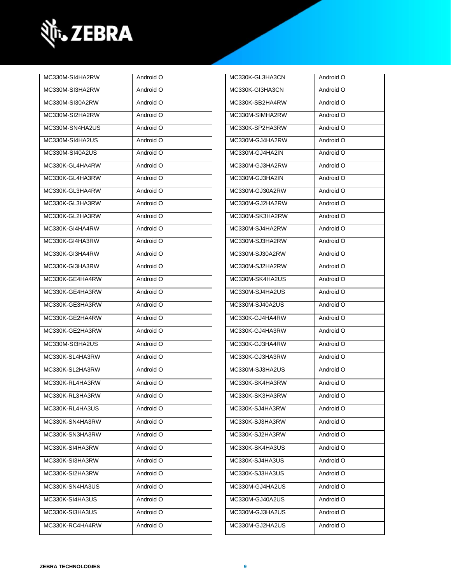

| MC330M-SI4HA2RW | Android O | MC330K-GL3HA3CN | Android O |
|-----------------|-----------|-----------------|-----------|
| MC330M-SI3HA2RW | Android O | MC330K-GI3HA3CN | Android O |
| MC330M-SI30A2RW | Android O | MC330K-SB2HA4RW | Android O |
| MC330M-SI2HA2RW | Android O | MC330M-SIMHA2RW | Android O |
| MC330M-SN4HA2US | Android O | MC330K-SP2HA3RW | Android O |
| MC330M-SI4HA2US | Android O | MC330M-GJ4HA2RW | Android O |
| MC330M-SI40A2US | Android O | MC330M-GJ4HA2IN | Android O |
| MC330K-GL4HA4RW | Android O | MC330M-GJ3HA2RW | Android O |
| MC330K-GL4HA3RW | Android O | MC330M-GJ3HA2IN | Android O |
| MC330K-GL3HA4RW | Android O | MC330M-GJ30A2RW | Android O |
| MC330K-GL3HA3RW | Android O | MC330M-GJ2HA2RW | Android O |
| MC330K-GL2HA3RW | Android O | MC330M-SK3HA2RW | Android O |
| MC330K-GI4HA4RW | Android O | MC330M-SJ4HA2RW | Android O |
| MC330K-GI4HA3RW | Android O | MC330M-SJ3HA2RW | Android O |
| MC330K-GI3HA4RW | Android O | MC330M-SJ30A2RW | Android O |
| MC330K-GI3HA3RW | Android O | MC330M-SJ2HA2RW | Android O |
| MC330K-GE4HA4RW | Android O | MC330M-SK4HA2US | Android O |
| MC330K-GE4HA3RW | Android O | MC330M-SJ4HA2US | Android O |
| MC330K-GE3HA3RW | Android O | MC330M-SJ40A2US | Android O |
| MC330K-GE2HA4RW | Android O | MC330K-GJ4HA4RW | Android O |
| MC330K-GE2HA3RW | Android O | MC330K-GJ4HA3RW | Android O |
| MC330M-SI3HA2US | Android O | MC330K-GJ3HA4RW | Android O |
| MC330K-SL4HA3RW | Android O | MC330K-GJ3HA3RW | Android O |
| MC330K-SL2HA3RW | Android O | MC330M-SJ3HA2US | Android O |
| MC330K-RL4HA3RW | Android O | MC330K-SK4HA3RW | Android O |
| MC330K-RL3HA3RW | Android O | MC330K-SK3HA3RW | Android O |
| MC330K-RL4HA3US | Android O | MC330K-SJ4HA3RW | Android O |
| MC330K-SN4HA3RW | Android O | MC330K-SJ3HA3RW | Android O |
| MC330K-SN3HA3RW | Android O | MC330K-SJ2HA3RW | Android O |
| MC330K-SI4HA3RW | Android O | MC330K-SK4HA3US | Android O |
| MC330K-SI3HA3RW | Android O | MC330K-SJ4HA3US | Android O |
| MC330K-SI2HA3RW | Android O | MC330K-SJ3HA3US | Android O |
| MC330K-SN4HA3US | Android O | MC330M-GJ4HA2US | Android O |
| MC330K-SI4HA3US | Android O | MC330M-GJ40A2US | Android O |
| MC330K-SI3HA3US | Android O | MC330M-GJ3HA2US | Android O |
| MC330K-RC4HA4RW | Android O | MC330M-GJ2HA2US | Android O |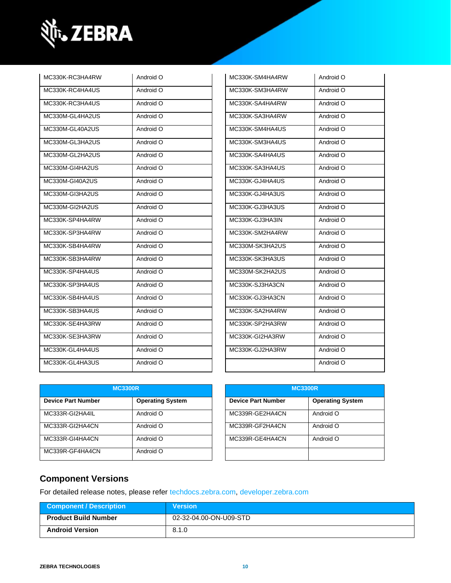

| MC330K-RC3HA4RW | Android O | MC330K-SM4HA4RW | Android O |
|-----------------|-----------|-----------------|-----------|
| MC330K-RC4HA4US | Android O | MC330K-SM3HA4RW | Android O |
| MC330K-RC3HA4US | Android O | MC330K-SA4HA4RW | Android O |
| MC330M-GL4HA2US | Android O | MC330K-SA3HA4RW | Android O |
| MC330M-GL40A2US | Android O | MC330K-SM4HA4US | Android O |
| MC330M-GL3HA2US | Android O | MC330K-SM3HA4US | Android O |
| MC330M-GL2HA2US | Android O | MC330K-SA4HA4US | Android O |
| MC330M-GI4HA2US | Android O | MC330K-SA3HA4US | Android O |
| MC330M-GI40A2US | Android O | MC330K-GJ4HA4US | Android O |
| MC330M-GI3HA2US | Android O | MC330K-GJ4HA3US | Android O |
| MC330M-GI2HA2US | Android O | MC330K-GJ3HA3US | Android O |
| MC330K-SP4HA4RW | Android O | MC330K-GJ3HA3IN | Android O |
| MC330K-SP3HA4RW | Android O | MC330K-SM2HA4RW | Android O |
| MC330K-SB4HA4RW | Android O | MC330M-SK3HA2US | Android O |
| MC330K-SB3HA4RW | Android O | MC330K-SK3HA3US | Android O |
| MC330K-SP4HA4US | Android O | MC330M-SK2HA2US | Android O |
| MC330K-SP3HA4US | Android O | MC330K-SJ3HA3CN | Android O |
| MC330K-SB4HA4US | Android O | MC330K-GJ3HA3CN | Android O |
| MC330K-SB3HA4US | Android O | MC330K-SA2HA4RW | Android O |
| MC330K-SE4HA3RW | Android O | MC330K-SP2HA3RW | Android O |
| MC330K-SE3HA3RW | Android O | MC330K-GI2HA3RW | Android O |
| MC330K-GL4HA4US | Android O | MC330K-GJ2HA3RW | Android O |
| MC330K-GL4HA3US | Android O |                 | Android O |

| MC330K-SM4HA4RW | Android O |
|-----------------|-----------|
| MC330K-SM3HA4RW | Android O |
| MC330K-SA4HA4RW | Android O |
| MC330K-SA3HA4RW | Android O |
| MC330K-SM4HA4US | Android O |
| MC330K-SM3HA4US | Android O |
| MC330K-SA4HA4US | Android O |
| MC330K-SA3HA4US | Android O |
| MC330K-GJ4HA4US | Android O |
| MC330K-GJ4HA3US | Android O |
| MC330K-GJ3HA3US | Android O |
| MC330K-GJ3HA3IN | Android O |
| MC330K-SM2HA4RW | Android O |
| MC330M-SK3HA2US | Android O |
| MC330K-SK3HA3US | Android O |
| MC330M-SK2HA2US | Android O |
| MC330K-SJ3HA3CN | Android O |
| MC330K-GJ3HA3CN | Android O |
| MC330K-SA2HA4RW | Android O |
| MC330K-SP2HA3RW | Android O |
| MC330K-GI2HA3RW | Android O |
| MC330K-GJ2HA3RW | Android O |
|                 | Android O |

| <b>MC3300R</b>            |                         | <b>MC3300R</b>            |                         |
|---------------------------|-------------------------|---------------------------|-------------------------|
| <b>Device Part Number</b> | <b>Operating System</b> | <b>Device Part Number</b> | <b>Operating System</b> |
| MC333R-GI2HA4IL           | Android O               | MC339R-GE2HA4CN           | Android O               |
| MC333R-GI2HA4CN           | Android O               | MC339R-GF2HA4CN           | Android O               |
| MC333R-GI4HA4CN           | Android O               | MC339R-GE4HA4CN           | Android O               |
| MC339R-GF4HA4CN           | Android O               |                           |                         |

| <b>MC3300R</b>            |                         |  |
|---------------------------|-------------------------|--|
| <b>Device Part Number</b> | <b>Operating System</b> |  |
| MC339R-GE2HA4CN           | Android O               |  |
| MC339R-GF2HA4CN           | Android O               |  |
| MC339R-GE4HA4CN           | Android O               |  |
|                           |                         |  |

### **Component Versions**

For detailed release notes, please refer [techdocs.zebra.com,](https://techdocs.zebra.com/) [developer.zebra.com](https://developer.zebra.com/)

| Component / Description     | <b>Version</b>         |
|-----------------------------|------------------------|
| <b>Product Build Number</b> | 02-32-04.00-ON-U09-STD |
| <b>Android Version</b>      | 8.1.0                  |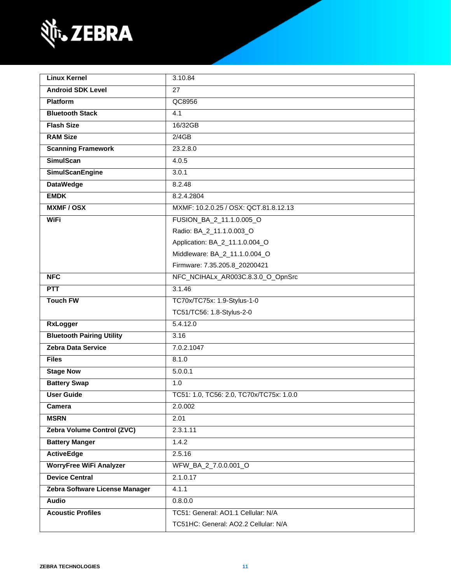

| <b>Linux Kernel</b>              | 3.10.84                                  |  |
|----------------------------------|------------------------------------------|--|
| <b>Android SDK Level</b>         | 27                                       |  |
| <b>Platform</b>                  | QC8956                                   |  |
| <b>Bluetooth Stack</b>           | 4.1                                      |  |
| <b>Flash Size</b>                | 16/32GB                                  |  |
| <b>RAM Size</b>                  | 2/4GB                                    |  |
| <b>Scanning Framework</b>        | 23.2.8.0                                 |  |
| <b>SimulScan</b>                 | 4.0.5                                    |  |
| <b>SimulScanEngine</b>           | 3.0.1                                    |  |
| <b>DataWedge</b>                 | 8.2.48                                   |  |
| <b>EMDK</b>                      | 8.2.4.2804                               |  |
| <b>MXMF/OSX</b>                  | MXMF: 10.2.0.25 / OSX: QCT.81.8.12.13    |  |
| <b>WiFi</b>                      | FUSION_BA_2_11.1.0.005_O                 |  |
|                                  | Radio: BA_2_11.1.0.003_O                 |  |
|                                  | Application: BA_2_11.1.0.004_O           |  |
|                                  | Middleware: BA_2_11.1.0.004_O            |  |
|                                  | Firmware: 7.35.205.8_20200421            |  |
| <b>NFC</b>                       | NFC_NCIHALx_AR003C.8.3.0_O_OpnSrc        |  |
| <b>PTT</b>                       | 3.1.46                                   |  |
| <b>Touch FW</b>                  | TC70x/TC75x: 1.9-Stylus-1-0              |  |
|                                  | TC51/TC56: 1.8-Stylus-2-0                |  |
| <b>RxLogger</b>                  | 5.4.12.0                                 |  |
| <b>Bluetooth Pairing Utility</b> | 3.16                                     |  |
| <b>Zebra Data Service</b>        | 7.0.2.1047                               |  |
| <b>Files</b>                     | 8.1.0                                    |  |
| <b>Stage Now</b>                 | 5.0.0.1                                  |  |
| <b>Battery Swap</b>              | 1.0                                      |  |
| <b>User Guide</b>                | TC51: 1.0, TC56: 2.0, TC70x/TC75x: 1.0.0 |  |
| Camera                           | 2.0.002                                  |  |
| <b>MSRN</b>                      | 2.01                                     |  |
| Zebra Volume Control (ZVC)       | 2.3.1.11                                 |  |
| <b>Battery Manger</b>            | 1.4.2                                    |  |
| <b>ActiveEdge</b>                | 2.5.16                                   |  |
| <b>WorryFree WiFi Analyzer</b>   | WFW_BA_2_7.0.0.001_O                     |  |
| <b>Device Central</b>            | 2.1.0.17                                 |  |
| Zebra Software License Manager   | 4.1.1                                    |  |
| <b>Audio</b>                     | 0.8.0.0                                  |  |
| <b>Acoustic Profiles</b>         | TC51: General: AO1.1 Cellular: N/A       |  |
|                                  | TC51HC: General: AO2.2 Cellular: N/A     |  |